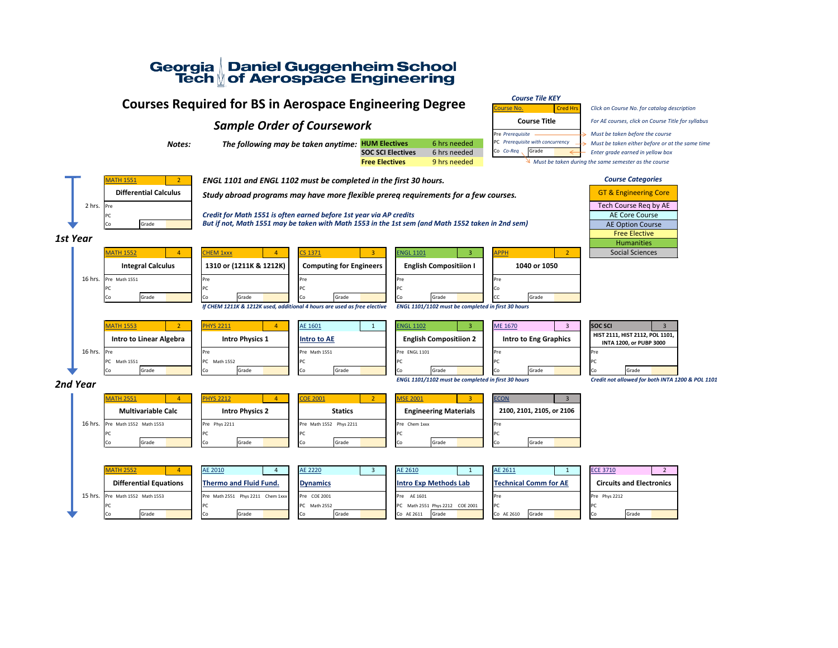# Georgia Daniel Guggenheim School<br>Tech of Aerospace Engineering

## **Courses Required for BS in Aerospace Engineering Degree** *Course Tile KEY*

### **Sample Order of Coursework Course Course Title**

Notes: **The following may be taken anytime:** HUM Electives 6 hrs needed PC Prerequisite with concurrency  $\rightarrow$  Must be taken either before or at the same time

**SOC SCI Electives** 6 hrs needed Co Co-Req Grade **Co Co-Req** Grade *Enter grade earned in yellow box* **Free Electives** 9 hrs needed Must be taken during the same semester as the course

**[Course No.](https://catalog.gatech.edu/courses-undergrad/)** Cred Hrs *Click on Course No. for catalog description For AE courses, click on Course Title for syllabus*



PC *Credit for Math 1551 is often earned before 1st year via AP credits* Grade **But if not, Math 1551 may be taken with Math 1553 in the 1st sem (and Math 1552 taken in 2nd sem)** 



ATH 1551 **2 2 FINGL 1101 and ENGL 1102 must be completed in the first 30 hours.** 

Differential Calculus **Study abroad programs may have more flexible prereq requirements for a few courses.** The Core<sup>ction</sup> of  $\frac{1}{2}$  GT & Engineering Core

*ENGL 1101/1102 must be completed in first 30 hours Credit not allowed for both INTA 1200 & POL 1101*

| AE 2611                      |       | <b>ECE 371</b>     |
|------------------------------|-------|--------------------|
| <b>Technical Comm for AE</b> |       | <b>Circu</b>       |
| <sup>o</sup> re              |       | <b>Pre</b><br>Phys |
| ᠈ᡗ                           |       | <b>PC</b>          |
| Co AE 2610                   | Grade | Co                 |

|    | <b>ECE 3710</b> |                                 | $\mathcal{P}$ |
|----|-----------------|---------------------------------|---------------|
|    |                 | <b>Circuits and Electronics</b> |               |
|    | Pre Phys 2212   |                                 |               |
| PC |                 |                                 |               |
| C٥ |                 | Grade                           |               |

|  |  |  | <b>T &amp; Engineering Co</b> |  |
|--|--|--|-------------------------------|--|

| 1st Year                                                                                            |                                                                        | <b>Humanities</b>                                          |
|-----------------------------------------------------------------------------------------------------|------------------------------------------------------------------------|------------------------------------------------------------|
| <b>CHEM 1xxx</b><br><b>MATH 1552</b><br><b>CS 1371</b><br>3<br>4                                    | <b>ENGL 1101</b><br><b>APPH</b><br>3 <sup>1</sup><br>2 <sup>2</sup>    | <b>Social Sciences</b>                                     |
| 1310 or (1211K & 1212K)<br><b>Integral Calculus</b><br><b>Computing for Engineers</b>               | <b>English Compositiion I</b><br>1040 or 1050                          |                                                            |
| 16 hrs.<br>Pre Math 1551<br>Pre<br>Pre                                                              | Pre<br><b>Pre</b>                                                      |                                                            |
| PC<br>PC<br>Grade<br>Grade<br>Grade<br>Co                                                           | PC<br>Grade<br>Grade<br>lСо                                            |                                                            |
| If CHEM 1211K & 1212K used, additional 4 hours are used as free elective                            | ENGL 1101/1102 must be completed in first 30 hours                     |                                                            |
| AE 1601<br><b>PHYS 2211</b><br><b>MATH 1553</b><br>2 <sup>1</sup><br>$\overline{4}$<br>$\mathbf{1}$ | <b>ENGL 1102</b><br><b>ME 1670</b><br>3 <sup>1</sup><br>3 <sup>1</sup> | <b>SOC SCI</b><br>$\mathbf{3}$                             |
| <b>Intro to Linear Algebra</b><br><b>Intro Physics 1</b><br><b>Intro to AE</b>                      | <b>English Compositiion 2</b><br><b>Intro to Eng Graphics</b>          | HIST 2111, HIST 2112, POL 1101,<br>INTA 1200, or PUBP 3000 |
| 16 hrs.<br>Pre Math 1551<br>Pre<br>Pre                                                              | Pre ENGL 1101<br>Pre                                                   | Pre                                                        |
| PC<br>Math 1551<br>PC<br>Math 1552<br>IPC                                                           | PC                                                                     | <b>PC</b>                                                  |
| Grade<br>Grade<br>Grade<br>Co<br>Co<br>Co                                                           | Grade<br>Grade<br>l Co                                                 | Grade<br>Co                                                |
| 2nd Year                                                                                            | ENGL 1101/1102 must be completed in first 30 hours                     | Credit not allowed for both INTA                           |
| <b>PHYS 2212</b><br><b>COE 2001</b><br><b>MATH 2551</b><br>2 <sup>1</sup>                           | <b>MSE 2001</b><br><b>ECON</b><br>$\mathbf{3}$<br>3 <sup>1</sup>       |                                                            |
| <b>Multivariable Calc</b><br><b>Intro Physics 2</b><br><b>Statics</b>                               | <b>Engineering Materials</b><br>2100, 2101, 2105, or 2106              |                                                            |
| 16 hrs.<br>Pre Math 1552 Math 1553<br>Pre Phys 2211<br>Pre Math 1552 Phys 2211                      | Pre Chem 1xxx<br>Pre                                                   |                                                            |
| IPC<br>Grade<br>Grade<br>Grade<br>ICo.<br>Co<br>ി∩                                                  | PC<br>Grade<br>Grade<br>lСо                                            |                                                            |

|  | <b>MATH 2552</b>                | <b>AE 2010</b>                    | AE 2220              | AE 2610                         | AE 2611                      | <b>ECE 3710</b>                 |
|--|---------------------------------|-----------------------------------|----------------------|---------------------------------|------------------------------|---------------------------------|
|  | <b>Differential Equations</b>   | <b>Thermo and Fluid Fund.</b>     | <b>Dynamics</b>      | <b>Intro Exp Methods Lab</b>    | <b>Technical Comm for AE</b> | <b>Circuits and Electronics</b> |
|  | 15 hrs. Pre Math 1552 Math 1553 | Pre Math 2551 Phys 2211 Chem 1xxx | Pre COE 2001         | Pre AE 1601                     | <b>I</b> Pre                 | Pre Phys 2212                   |
|  |                                 |                                   | <b>PC</b> Math 2552  | PC Math 2551 Phys 2212 COE 2001 | <b>IPC</b>                   |                                 |
|  | Grade                           | Grade                             | Grade<br><b>I</b> Co | Grade<br>Co AE 2611             | Grade<br>Co AE 2610          | Grade<br>CO.                    |

| ISOC SCI                                                          | 3     |  |  |  |  |
|-------------------------------------------------------------------|-------|--|--|--|--|
| HIST 2111, HIST 2112, POL 1101,<br><b>INTA 1200, or PUBP 3000</b> |       |  |  |  |  |
| Pre                                                               |       |  |  |  |  |
| PC.                                                               |       |  |  |  |  |
|                                                                   | Grade |  |  |  |  |

*Course Categories*

Tech Course Req by AE AE Core Course AE Option Course